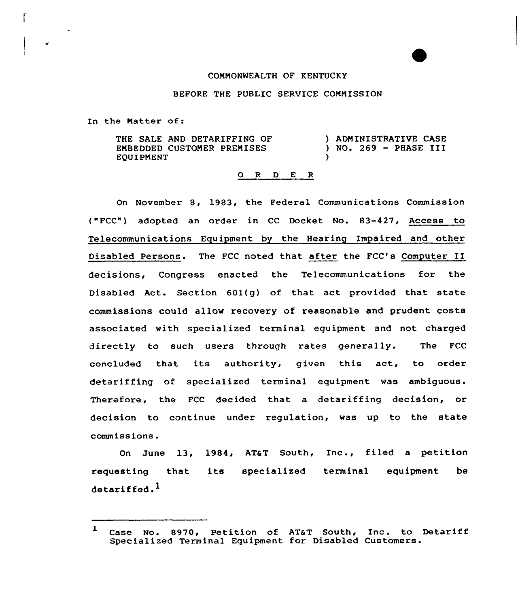## COMMONWEALTH OF KENTUCKY

## BEFORE THE PUBLIC SERVICE COMMISSION

In the Matter of:

THE SALE AND DETARIFFING OF EMBEDDED CUSTOMER PREMISES EQUIPMENT } ADMINISTRATIVE CASE ) NO. <sup>269</sup> — PHASE III )

## 0 R <sup>D</sup> E <sup>R</sup>

On November 8, 1983, the Federal Communications Commission ("FCC") adopted an order in CC Docket No. 83-427, Access to Telecommunications Equipment by the Hearing Impaired and other Disabled Persons. The FCC noted that after the FCC's Computer II decisions, Congress enacted the Telecommunications for the Disabled Act. Section 601(g} of that act provided that state commissions could allow recovery of reasonable and prudent costs associated with specialized terminal equipment and not charged directly to such users through rates generally. The FCC concluded that its authority, given this act, to order detariffing of specialized terminal equipment was ambiguous. Therefore, the FCC decided that a detariffing decision, or decision to continue under regulation, was up to the state commissions.

On June 13, 1984, AT&T South, Inc., filed a petition requesting that detariffed. $^1$ its specialized terminal equipment be

<sup>1</sup> Case No. 8970, Petition of AT&T South, Inc. to Detariff Case No. 8970, Petition of AT&T South, Inc. to Specialized Terminal Equipment for Disabled Customers.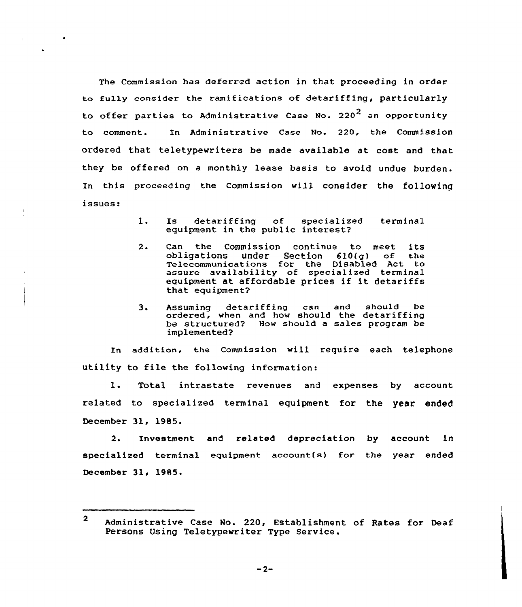The Commission has deferred action in that proceeding in order to fully consider the ramifications of detariffing, particularly to offer parties to Administrative Case No. 220<sup>2</sup> an opportunity to comment. In Administrative Case No. 220, the Commission ordered that teletypewriters be made available at cost and that they be offered on a monthly lease basis to avoid undue burden. In this proceeding the Commissjon will consider the following issues:

- 1. Is detariffing of specialized terminal equipment in the public interest
- 2. Can the Commission continue to meet its obligations under Section 610(g) of the Telecommunications for the Disabled Act to assure availability of specialized terminal equipment at affordable prices if it detariffs that equipment?
- 3. Assuming detariffing can and should be ordered, when and how should the detariffing be structured? How should a sales program be implemented?

In addition, the commission will require each telephone utility to file the following information:

1. Total intrastate revenues and expenses by account related to specialized terminal equipment for the year ended December 31, 1985.

2. Investment and related depreciation by account in specialized terminal equipment account(s) for the year ended December 31< 1985.

<sup>2</sup> Administrative Case No. 220, Establishment of Rates for Deaf Persons Using Teletypewriter Type Service.